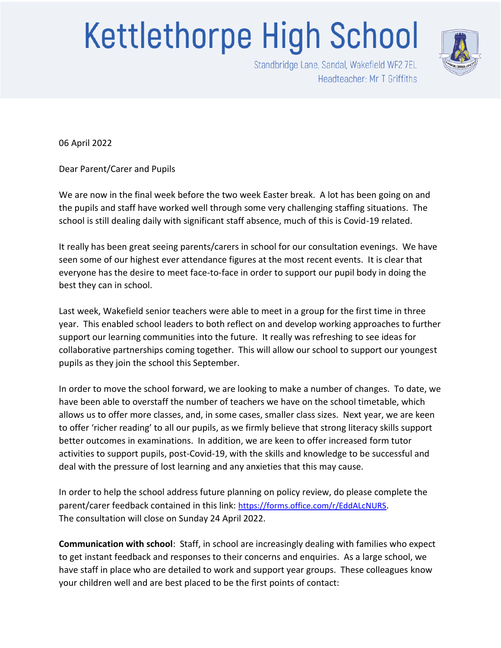## **Kettlethorpe High School**



Standbridge Lane, Sandal, Wakefield WF2 7EL Headteacher: Mr T Griffiths

06 April 2022

Dear Parent/Carer and Pupils

We are now in the final week before the two week Easter break. A lot has been going on and the pupils and staff have worked well through some very challenging staffing situations. The school is still dealing daily with significant staff absence, much of this is Covid-19 related.

It really has been great seeing parents/carers in school for our consultation evenings. We have seen some of our highest ever attendance figures at the most recent events. It is clear that everyone has the desire to meet face-to-face in order to support our pupil body in doing the best they can in school.

Last week, Wakefield senior teachers were able to meet in a group for the first time in three year. This enabled school leaders to both reflect on and develop working approaches to further support our learning communities into the future. It really was refreshing to see ideas for collaborative partnerships coming together. This will allow our school to support our youngest pupils as they join the school this September.

In order to move the school forward, we are looking to make a number of changes. To date, we have been able to overstaff the number of teachers we have on the school timetable, which allows us to offer more classes, and, in some cases, smaller class sizes. Next year, we are keen to offer 'richer reading' to all our pupils, as we firmly believe that strong literacy skills support better outcomes in examinations. In addition, we are keen to offer increased form tutor activities to support pupils, post-Covid-19, with the skills and knowledge to be successful and deal with the pressure of lost learning and any anxieties that this may cause.

In order to help the school address future planning on policy review, do please complete the parent/carer feedback contained in this link: <https://forms.office.com/r/EddALcNURS>. The consultation will close on Sunday 24 April 2022.

**Communication with school**: Staff, in school are increasingly dealing with families who expect to get instant feedback and responses to their concerns and enquiries. As a large school, we have staff in place who are detailed to work and support year groups. These colleagues know your children well and are best placed to be the first points of contact: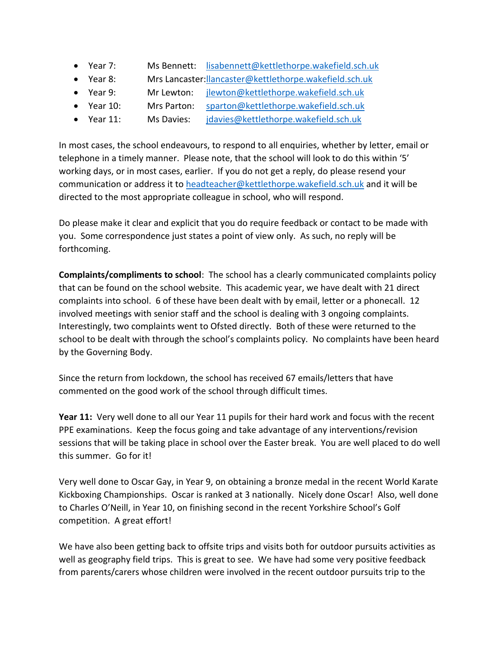- Year 7: Ms Bennett: [lisabennett@kettlethorpe.wakefield.sch.uk](mailto:lisabennett@kettlethorpe.wakefield.sch.uk)
- Year 8: Mrs Lancaster[:llancaster@kettlethorpe.wakefield.sch.uk](mailto:llancaster@kettlethorpe.wakefield.sch.uk)
- Year 9: Mr Lewton: [jlewton@kettlethorpe.wakefield.sch.uk](mailto:jlewton@kettlethorpe.wakefield.sch.uk)
- Year 10: Mrs Parton: [sparton@kettlethorpe.wakefield.sch.uk](mailto:sparton@kettlethorpe.wakefield.sch.uk)
- Year 11: Ms Davies: [jdavies@kettlethorpe.wakefield.sch.uk](mailto:jdavies@kettlethorpe.wakefield.sch.uk)

In most cases, the school endeavours, to respond to all enquiries, whether by letter, email or telephone in a timely manner. Please note, that the school will look to do this within '5' working days, or in most cases, earlier. If you do not get a reply, do please resend your communication or address it to [headteacher@kettlethorpe.wakefield.sch.uk](mailto:headteacher@kettlethorpe.wakefield.sch.uk) and it will be directed to the most appropriate colleague in school, who will respond.

Do please make it clear and explicit that you do require feedback or contact to be made with you. Some correspondence just states a point of view only. As such, no reply will be forthcoming.

**Complaints/compliments to school**: The school has a clearly communicated complaints policy that can be found on the school website. This academic year, we have dealt with 21 direct complaints into school. 6 of these have been dealt with by email, letter or a phonecall. 12 involved meetings with senior staff and the school is dealing with 3 ongoing complaints. Interestingly, two complaints went to Ofsted directly. Both of these were returned to the school to be dealt with through the school's complaints policy. No complaints have been heard by the Governing Body.

Since the return from lockdown, the school has received 67 emails/letters that have commented on the good work of the school through difficult times.

**Year 11:** Very well done to all our Year 11 pupils for their hard work and focus with the recent PPE examinations. Keep the focus going and take advantage of any interventions/revision sessions that will be taking place in school over the Easter break. You are well placed to do well this summer. Go for it!

Very well done to Oscar Gay, in Year 9, on obtaining a bronze medal in the recent World Karate Kickboxing Championships. Oscar is ranked at 3 nationally. Nicely done Oscar! Also, well done to Charles O'Neill, in Year 10, on finishing second in the recent Yorkshire School's Golf competition. A great effort!

We have also been getting back to offsite trips and visits both for outdoor pursuits activities as well as geography field trips. This is great to see. We have had some very positive feedback from parents/carers whose children were involved in the recent outdoor pursuits trip to the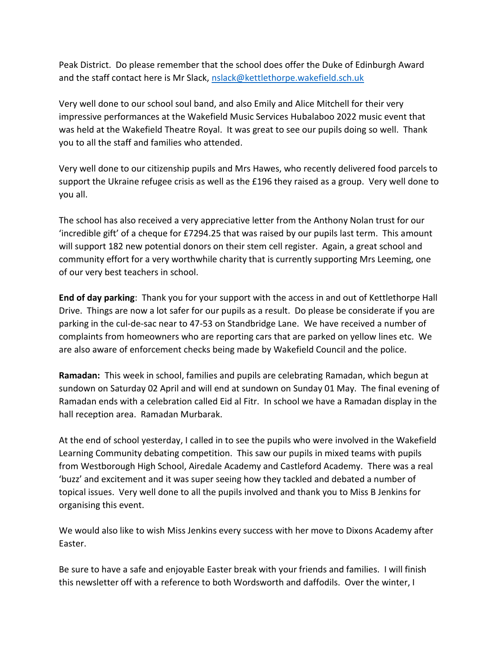Peak District. Do please remember that the school does offer the Duke of Edinburgh Award and the staff contact here is Mr Slack, [nslack@kettlethorpe.wakefield.sch.uk](mailto:nslack@kettlethorpe.wakefield.sch.uk)

Very well done to our school soul band, and also Emily and Alice Mitchell for their very impressive performances at the Wakefield Music Services Hubalaboo 2022 music event that was held at the Wakefield Theatre Royal. It was great to see our pupils doing so well. Thank you to all the staff and families who attended.

Very well done to our citizenship pupils and Mrs Hawes, who recently delivered food parcels to support the Ukraine refugee crisis as well as the £196 they raised as a group. Very well done to you all.

The school has also received a very appreciative letter from the Anthony Nolan trust for our 'incredible gift' of a cheque for £7294.25 that was raised by our pupils last term. This amount will support 182 new potential donors on their stem cell register. Again, a great school and community effort for a very worthwhile charity that is currently supporting Mrs Leeming, one of our very best teachers in school.

**End of day parking**: Thank you for your support with the access in and out of Kettlethorpe Hall Drive. Things are now a lot safer for our pupils as a result. Do please be considerate if you are parking in the cul-de-sac near to 47-53 on Standbridge Lane. We have received a number of complaints from homeowners who are reporting cars that are parked on yellow lines etc. We are also aware of enforcement checks being made by Wakefield Council and the police.

**Ramadan:** This week in school, families and pupils are celebrating Ramadan, which begun at sundown on Saturday 02 April and will end at sundown on Sunday 01 May. The final evening of Ramadan ends with a celebration called Eid al Fitr. In school we have a Ramadan display in the hall reception area. Ramadan Murbarak.

At the end of school yesterday, I called in to see the pupils who were involved in the Wakefield Learning Community debating competition. This saw our pupils in mixed teams with pupils from Westborough High School, Airedale Academy and Castleford Academy. There was a real 'buzz' and excitement and it was super seeing how they tackled and debated a number of topical issues. Very well done to all the pupils involved and thank you to Miss B Jenkins for organising this event.

We would also like to wish Miss Jenkins every success with her move to Dixons Academy after Easter.

Be sure to have a safe and enjoyable Easter break with your friends and families. I will finish this newsletter off with a reference to both Wordsworth and daffodils. Over the winter, I